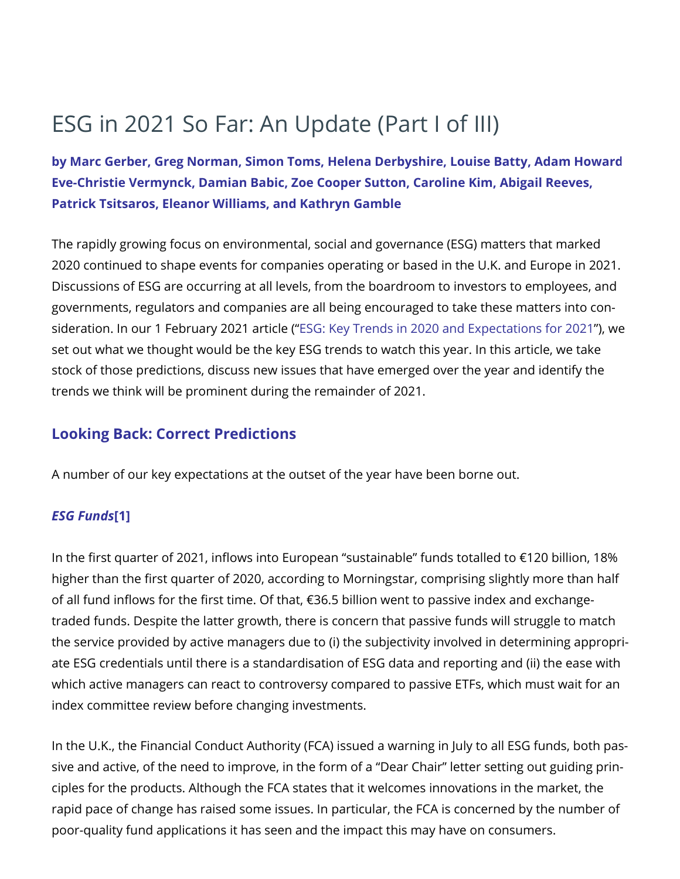**by Marc [Gerber,](https://www.skadden.com/professionals/g/gerber-marc-s) Greg [Norman](https://www.skadden.com/professionals/n/norman-greg-p), [Simon](https://www.skadden.com/professionals/t/toms-simon-p) Toms, Helena [Derbyshire](https://www.skadden.com/professionals/d/derbyshire-helena-j), [Louise Batty](https://www.skadden.com/professionals/b/batty-louise), Adam [Howard](https://www.skadden.com/professionals/h/howard-adam-m), [Eve-Christie Vermynck,](https://www.skadden.com/professionals/v/vermynck-evechristie) [Damian](https://www.skadden.com/professionals/b/babic-damian-r) Babic, [Zoe Cooper Sutton](https://www.skadden.com/professionals/c/cooper-sutton-zoe-q), [Caroline Kim,](https://www.skadden.com/professionals/k/kim-caroline-s) [Abigail Reeves,](https://www.skadden.com/professionals/r/reeves-abigail-b) [Patrick Tsitsaros,](https://www.skadden.com/professionals/t/tsitsaros-patrick) [Eleanor Williams](https://www.skadden.com/professionals/w/williams-eleanor-f), and [Kathryn](https://www.skadden.com/professionals/g/gamble-kathryn) Gamble**

The rapidly growing focus on environmental, social and governance (ESG) matters that marked 2020 continued to shape events for companies operating or based in the U.K. and Europe in 2021. Discussions of ESG are occurring at all levels, from the boardroom to investors to employees, and governments, regulators and companies are all being encouraged to take these matters into consideration. In our 1 February 2021 article ("ESG: Key Trends in 2020 [and Expectations](https://www.skadden.com/insights/publications/2021/02/esg-key-trends-in-2020-and-expectations-2021) for 2021"), we set out what we thought would be the key ESG trends to watch this year. In this article, we take stock of those predictions, discuss new issues that have emerged over the year and identify the trends we think will be prominent during the remainder of 2021.

# **Looking Back: Correct Predictions**

A number of our key expectations at the outset of the year have been borne out.

#### <span id="page-0-0"></span>*ESG Funds***[\[1\]](#page-3-0)**

In the first quarter of 2021, inflows into European "sustainable" funds totalled to €120 billion, 18% higher than the first quarter of 2020, according to Morningstar, comprising slightly more than half of all fund inflows for the first time. Of that, €36.5 billion went to passive index and exchangetraded funds. Despite the latter growth, there is concern that passive funds will struggle to match the service provided by active managers due to (i) the subjectivity involved in determining appropriate ESG credentials until there is a standardisation of ESG data and reporting and (ii) the ease with which active managers can react to controversy compared to passive ETFs, which must wait for an index committee review before changing investments.

In the U.K., the Financial Conduct Authority (FCA) issued a warning in July to all ESG funds, both passive and active, of the need to improve, in the form of a "Dear Chair" letter setting out guiding principles for the products. Although the FCA states that it welcomes innovations in the market, the rapid pace of change has raised some issues. In particular, the FCA is concerned by the number of poor-quality fund applications it has seen and the impact this may have on consumers.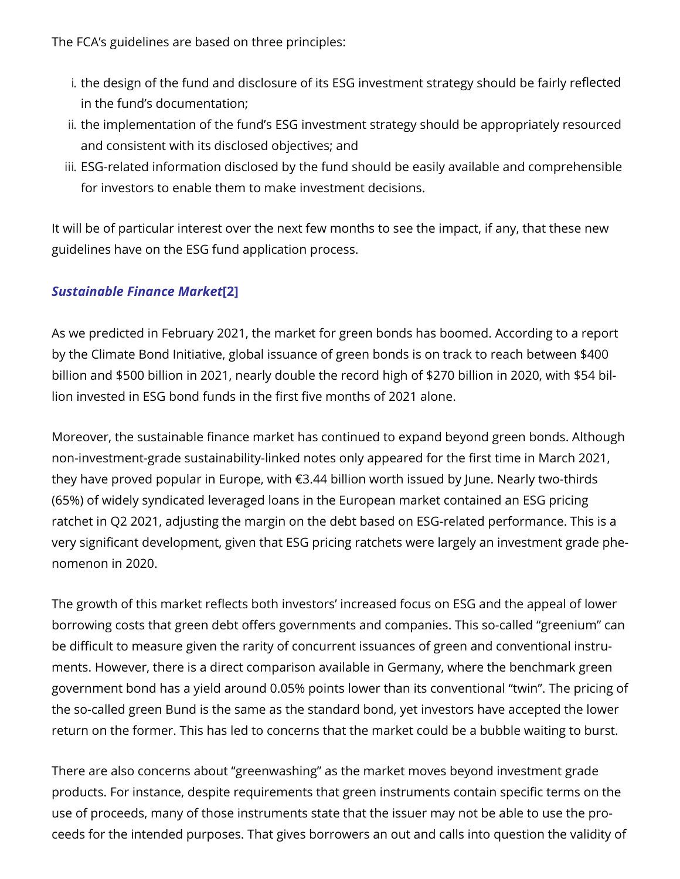The FCA's guidelines are based on three principles:

- i. the design of the fund and disclosure of its ESG investment strategy should be fairly reflected in the fund's documentation;
- ii. the implementation of the fund's ESG investment strategy should be appropriately resourced and consistent with its disclosed objectives; and
- iii. ESG-related information disclosed by the fund should be easily available and comprehensible for investors to enable them to make investment decisions.

It will be of particular interest over the next few months to see the impact, if any, that these new guidelines have on the ESG fund application process.

## <span id="page-1-0"></span>*Sustainable Finance Market***[\[2\]](#page-3-1)**

As we predicted in February 2021, the market for green bonds has boomed. According to a report by the Climate Bond Initiative, global issuance of green bonds is on track to reach between \$400 billion and \$500 billion in 2021, nearly double the record high of \$270 billion in 2020, with \$54 billion invested in ESG bond funds in the first five months of 2021 alone.

Moreover, the sustainable finance market has continued to expand beyond green bonds. Although non-investment-grade sustainability-linked notes only appeared for the first time in March 2021, they have proved popular in Europe, with €3.44 billion worth issued by June. Nearly two-thirds (65%) of widely syndicated leveraged loans in the European market contained an ESG pricing ratchet in Q2 2021, adjusting the margin on the debt based on ESG-related performance. This is a very significant development, given that ESG pricing ratchets were largely an investment grade phenomenon in 2020.

The growth of this market reflects both investors' increased focus on ESG and the appeal of lower borrowing costs that green debt offers governments and companies. This so-called "greenium" can be difficult to measure given the rarity of concurrent issuances of green and conventional instruments. However, there is a direct comparison available in Germany, where the benchmark green government bond has a yield around 0.05% points lower than its conventional "twin". The pricing of the so-called green Bund is the same as the standard bond, yet investors have accepted the lower return on the former. This has led to concerns that the market could be a bubble waiting to burst.

There are also concerns about "greenwashing" as the market moves beyond investment grade products. For instance, despite requirements that green instruments contain specific terms on the use of proceeds, many of those instruments state that the issuer may not be able to use the proceeds for the intended purposes. That gives borrowers an out and calls into question the validity of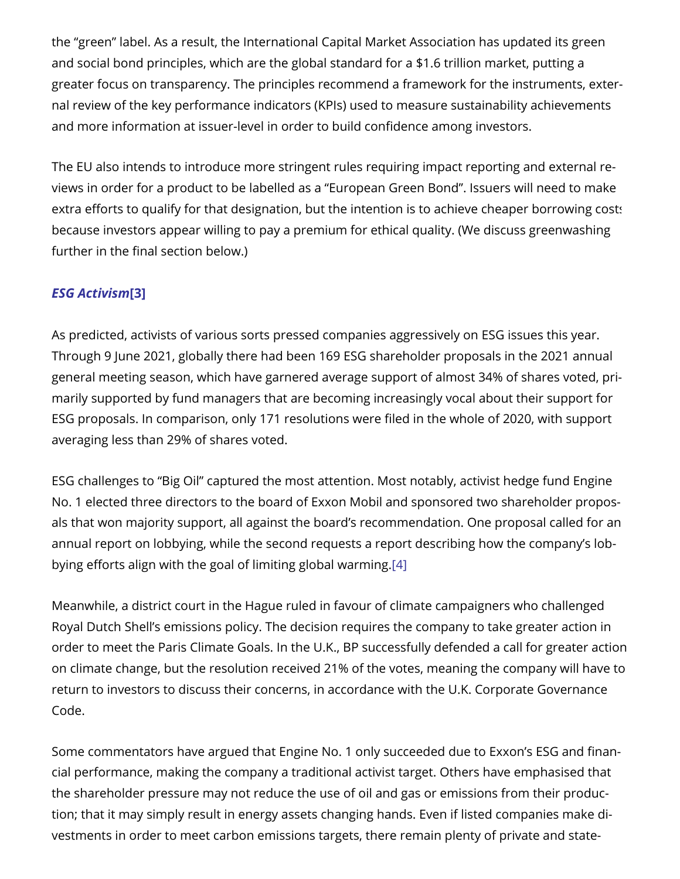the "green" label. As a result, the International Capital Market Association has updated its green and social bond principles, which are the global standard for a \$1.6 trillion market, putting a greater focus on transparency. The principles recommend a framework for the instruments, external review of the key performance indicators (KPIs) used to measure sustainability achievements and more information at issuer-level in order to build confidence among investors.

The EU also intends to introduce more stringent rules requiring impact reporting and external reviews in order for a product to be labelled as a "European Green Bond". Issuers will need to make extra efforts to qualify for that designation, but the intention is to achieve cheaper borrowing costs because investors appear willing to pay a premium for ethical quality. (We discuss greenwashing further in the final section below.)

## <span id="page-2-0"></span>*ESG Activism***[\[3\]](#page-3-2)**

As predicted, activists of various sorts pressed companies aggressively on ESG issues this year. Through 9 June 2021, globally there had been 169 ESG shareholder proposals in the 2021 annual general meeting season, which have garnered average support of almost 34% of shares voted, primarily supported by fund managers that are becoming increasingly vocal about their support for ESG proposals. In comparison, only 171 resolutions were filed in the whole of 2020, with support averaging less than 29% of shares voted.

ESG challenges to "Big Oil" captured the most attention. Most notably, activist hedge fund Engine No. 1 elected three directors to the board of Exxon Mobil and sponsored two shareholder proposals that won majority support, all against the board's recommendation. One proposal called for an annual report on lobbying, while the second requests a report describing how the company's lobbying efforts align with the goal of limiting global warming.[\[4\]](#page-3-3)

<span id="page-2-1"></span>Meanwhile, a district court in the Hague ruled in favour of climate campaigners who challenged Royal Dutch Shell's emissions policy. The decision requires the company to take greater action in order to meet the Paris Climate Goals. In the U.K., BP successfully defended a call for greater action on climate change, but the resolution received 21% of the votes, meaning the company will have to return to investors to discuss their concerns, in accordance with the U.K. Corporate Governance Code.

Some commentators have argued that Engine No. 1 only succeeded due to Exxon's ESG and financial performance, making the company a traditional activist target. Others have emphasised that the shareholder pressure may not reduce the use of oil and gas or emissions from their production; that it may simply result in energy assets changing hands. Even if listed companies make divestments in order to meet carbon emissions targets, there remain plenty of private and state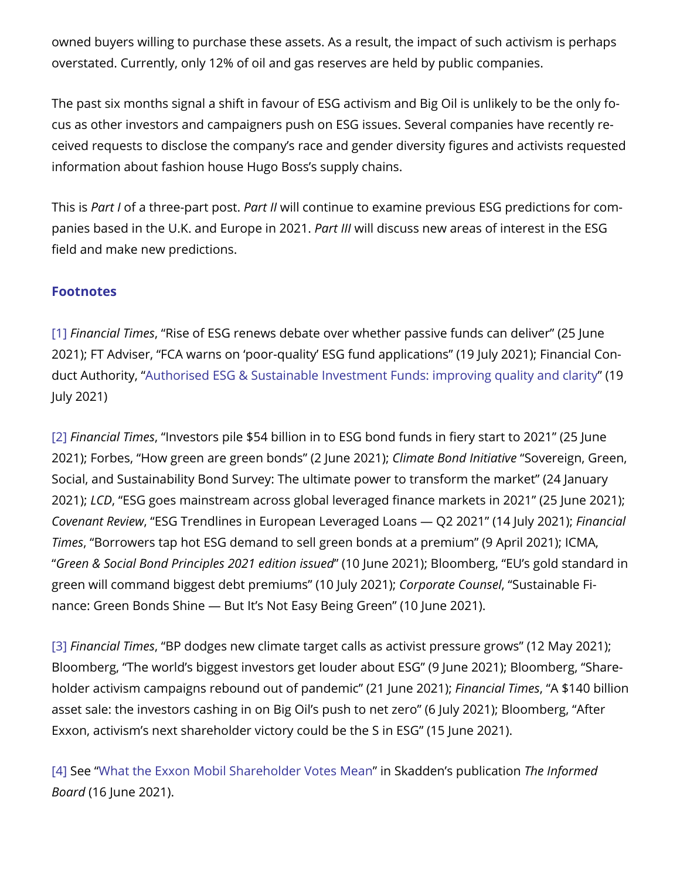owned buyers willing to purchase these assets. As a result, the impact of such activism is perhaps overstated. Currently, only 12% of oil and gas reserves are held by public companies.

The past six months signal a shift in favour of ESG activism and Big Oil is unlikely to be the only focus as other investors and campaigners push on ESG issues. Several companies have recently received requests to disclose the company's race and gender diversity figures and activists requested information about fashion house Hugo Boss's supply chains.

This is *Part I* of a three-part post. *Part II* will continue to examine previous ESG predictions for companies based in the U.K. and Europe in 2021. *Part III* will discuss new areas of interest in the ESG field and make new predictions.

#### **Footnotes**

<span id="page-3-0"></span>[\[1\]](#page-0-0) *Financial Times*, "Rise of ESG renews debate over whether passive funds can deliver" (25 June 2021); FT Adviser, "FCA warns on 'poor-quality' ESG fund applications" (19 July 2021); Financial Conduct Authority, "Authorised ESG & Sustainable Investment [Funds: improving](https://www.fca.org.uk/publication/correspondence/dear-chair-letter-authorised-esg-sustainable-investment-funds.pdf) quality and clarity" (19 July 2021)

<span id="page-3-1"></span>[\[2\]](#page-1-0) *Financial Times*, "Investors pile \$54 billion in to ESG bond funds in fiery start to 2021" (25 June 2021); Forbes, "How green are green bonds" (2 June 2021); *Climate Bond Initiative* "Sovereign, Green, Social, and Sustainability Bond Survey: The ultimate power to transform the market" (24 January 2021); *LCD*, "ESG goes mainstream across global leveraged finance markets in 2021" (25 June 2021); *Covenant Review*, "ESG Trendlines in European Leveraged Loans ― Q2 2021" (14 July 2021); *Financial Times*, "Borrowers tap hot ESG demand to sell green bonds at a premium" (9 April 2021); ICMA, "*Green & Social Bond Principles 2021 edition issued*" (10 June 2021); Bloomberg, "EU's gold standard in green will command biggest debt premiums" (10 July 2021); *Corporate Counsel*, "Sustainable Finance: Green Bonds Shine ― But It's Not Easy Being Green" (10 June 2021).

<span id="page-3-2"></span>[\[3\]](#page-2-0) *Financial Times*, "BP dodges new climate target calls as activist pressure grows" (12 May 2021); Bloomberg, "The world's biggest investors get louder about ESG" (9 June 2021); Bloomberg, "Shareholder activism campaigns rebound out of pandemic" (21 June 2021); *Financial Times*, "A \$140 billion asset sale: the investors cashing in on Big Oil's push to net zero" (6 July 2021); Bloomberg, "After Exxon, activism's next shareholder victory could be the S in ESG" (15 June 2021).

<span id="page-3-3"></span>[\[4\]](#page-2-1) See "What the Exxon Mobil [Shareholder](https://www.skadden.com/insights/publications/2021/06/the-informed-board/what-the-exxon-mobil-shareholder-votes-mean) Votes Mean" in Skadden's publication *The Informed Board* (16 June 2021).